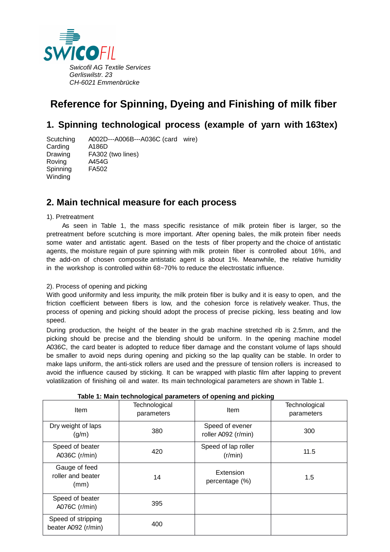

# **Reference for Spinning, Dyeing and Finishing of milk fiber**

## **1. Spinning technological process (example of yarn with 163tex)**

Scutching A002D---A006B---A036C (card wire) Carding A186D Drawing FA302 (two lines) Roving A454G Spinning FA502 **Winding** 

## **2. Main technical measure for each process**

### 1). Pretreatment

As seen in Table 1, the mass specific resistance of milk protein fiber is larger, so the pretreatment before scutching is more important. After opening bales, the milk protein fiber needs some water and antistatic agent. Based on the tests of fiber property and the choice of antistatic agents, the moisture regain of pure spinning with milk protein fiber is controlled about 16%, and the add-on of chosen composite antistatic agent is about 1%. Meanwhile, the relative humidity in the workshop is controlled within 68~70% to reduce the electrostatic influence.

### 2). Process of opening and picking

With good uniformity and less impurity, the milk protein fiber is bulky and it is easy to open, and the friction coefficient between fibers is low, and the cohesion force is relatively weaker. Thus, the process of opening and picking should adopt the process of precise picking, less beating and low speed.

During production, the height of the beater in the grab machine stretched rib is 2.5mm, and the picking should be precise and the blending should be uniform. In the opening machine model A036C, the card beater is adopted to reduce fiber damage and the constant volume of laps should be smaller to avoid neps during opening and picking so the lap quality can be stable. In order to make laps uniform, the anti-stick rollers are used and the pressure of tension rollers is increased to avoid the influence caused by sticking. It can be wrapped with plastic film after lapping to prevent volatilization of finishing oil and water. Its main technological parameters are shown in Table 1.

| $\sim$ , $\sim$ g, $\sim$ $\sim$ , p $\sim$ , $\sim$ .<br>פייייים יייים שייים פייייים |                             |                                        |                             |  |  |  |
|---------------------------------------------------------------------------------------|-----------------------------|----------------------------------------|-----------------------------|--|--|--|
| <b>Item</b>                                                                           | Technological<br>parameters | Item                                   | Technological<br>parameters |  |  |  |
| Dry weight of laps<br>(g/m)                                                           | 380                         | Speed of evener<br>roller A092 (r/min) | 300                         |  |  |  |
| Speed of beater<br>A036C (r/min)                                                      | 420                         | Speed of lap roller<br>(r/min)         | 11.5                        |  |  |  |
| Gauge of feed<br>roller and beater<br>(mm)                                            | 14                          | Extension<br>percentage (%)            | 1.5                         |  |  |  |
| Speed of beater<br>A076C (r/min)                                                      | 395                         |                                        |                             |  |  |  |
| Speed of stripping<br>beater A092 (r/min)                                             | 400                         |                                        |                             |  |  |  |

**Table 1: Main technological parameters of opening and picking**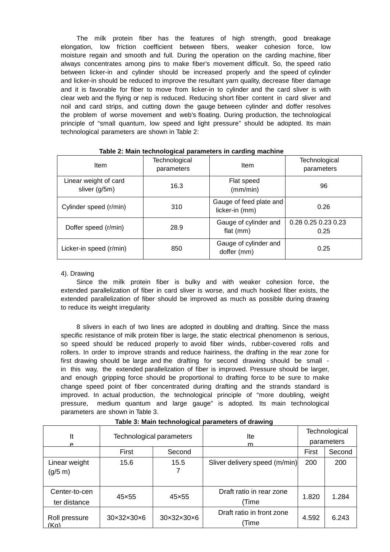The milk protein fiber has the features of high strength, good breakage elongation, low friction coefficient between fibers, weaker cohesion force, low moisture regain and smooth and full. During the operation on the carding machine, fiber always concentrates among pins to make fiber's movement difficult. So, the speed ratio between licker-in and cylinder should be increased properly and the speed of cylinder and licker-in should be reduced to improve the resultant yarn quality, decrease fiber damage and it is favorable for fiber to move from licker-in to cylinder and the card sliver is with clear web and the flying or nep is reduced. Reducing short fiber content in card sliver and noil and card strips, and cutting down the gauge between cylinder and doffer resolves the problem of worse movement and web's floating. During production, the technological principle of "small quantum, low speed and light pressure" should be adopted. Its main technological parameters are shown in Table 2:

| Item                                   | Technological<br>parameters | Item                                      | Technological<br>parameters |
|----------------------------------------|-----------------------------|-------------------------------------------|-----------------------------|
| Linear weight of card<br>sliver (g/5m) | 16.3                        | Flat speed<br>(mm/min)                    | 96                          |
| Cylinder speed (r/min)                 | 310                         | Gauge of feed plate and<br>licker-in (mm) | 0.26                        |
| Doffer speed (r/min)                   | 28.9                        | Gauge of cylinder and<br>flat $(mm)$      | 0.28 0.25 0.23 0.23<br>0.25 |
| Licker-in speed (r/min)                | 850                         | Gauge of cylinder and<br>doffer (mm)      | 0.25                        |

| Table 2: Main technological parameters in carding machine |  |  |  |  |
|-----------------------------------------------------------|--|--|--|--|
|-----------------------------------------------------------|--|--|--|--|

#### 4). Drawing

Since the milk protein fiber is bulky and with weaker cohesion force, the extended parallelization of fiber in card sliver is worse, and much hooked fiber exists, the extended parallelization of fiber should be improved as much as possible during drawing to reduce its weight irregularity.

8 slivers in each of two lines are adopted in doubling and drafting. Since the mass specific resistance of milk protein fiber is large, the static electrical phenomenon is serious, so speed should be reduced properly to avoid fiber winds, rubber-covered rolls and rollers. In order to improve strands and reduce hairiness, the drafting in the rear zone for first drawing should be large and the drafting for second drawing should be small in this way, the extended parallelization of fiber is improved. Pressure should be larger, and enough gripping force should be proportional to drafting force to be sure to make change speed point of fiber concentrated during drafting and the strands standard is improved. In actual production, the technological principle of "more doubling, weight pressure, medium quantum and large gauge" is adopted. Its main technological parameters are shown in Table 3.

| It                            | Technological parameters    |            | lte                                | Technological |            |
|-------------------------------|-----------------------------|------------|------------------------------------|---------------|------------|
| e                             |                             |            | m                                  |               | parameters |
|                               | First                       | Second     |                                    | First         | Second     |
| Linear weight<br>(g/5 m)      | 15.6                        | 15.5       | Sliver delivery speed (m/min)      | 200           | 200        |
| Center-to-cen<br>ter distance | 45×55                       | 45×55      | Draft ratio in rear zone<br>(Time  | 1.820         | 1.284      |
| Roll pressure<br>(Ka)         | $30\times32\times30\times6$ | 30x32x30x6 | Draft ratio in front zone<br>Time) | 4.592         | 6.243      |

**Table 3: Main technological parameters of drawing**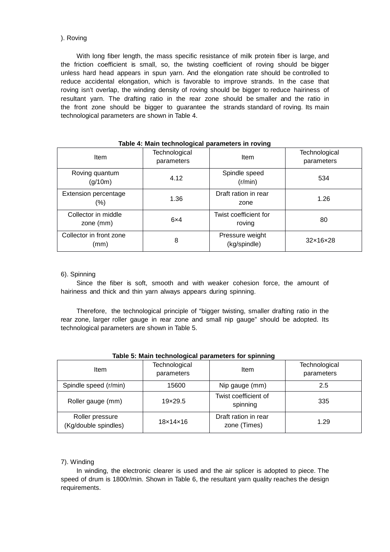### ). Roving

With long fiber length, the mass specific resistance of milk protein fiber is large, and the friction coefficient is small, so, the twisting coefficient of roving should be bigger unless hard head appears in spun yarn. And the elongation rate should be controlled to reduce accidental elongation, which is favorable to improve strands. In the case that roving isn't overlap, the winding density of roving should be bigger to reduce hairiness of resultant yarn. The drafting ratio in the rear zone should be smaller and the ratio in the front zone should be bigger to guarantee the strands standard of roving. Its main technological parameters are shown in Table 4.

|                                  | . . <del>.</del>            |                                 |                             |
|----------------------------------|-----------------------------|---------------------------------|-----------------------------|
| <b>Item</b>                      | Technological<br>parameters | Item                            | Technological<br>parameters |
| Roving quantum<br>(g/10m)        | 4.12                        | Spindle speed<br>(r/min)        | 534                         |
| Extension percentage<br>(%)      | 1.36                        | Draft ration in rear<br>zone    | 1.26                        |
| Collector in middle<br>zone (mm) | $6\times4$                  | Twist coefficient for<br>roving | 80                          |
| Collector in front zone<br>(mm)  | 8                           | Pressure weight<br>(kg/spindle) | 32×16×28                    |

#### **Table 4: Main technological parameters in roving**

#### 6). Spinning

Since the fiber is soft, smooth and with weaker cohesion force, the amount of hairiness and thick and thin yarn always appears during spinning.

Therefore, the technological principle of "bigger twisting, smaller drafting ratio in the rear zone, larger roller gauge in rear zone and small nip gauge" should be adopted. Its technological parameters are shown in Table 5.

| ltem                                    | Technological<br>parameters | Item                                 | Technological<br>parameters |  |  |
|-----------------------------------------|-----------------------------|--------------------------------------|-----------------------------|--|--|
| Spindle speed (r/min)                   | 15600                       | Nip gauge (mm)                       | 2.5                         |  |  |
| Roller gauge (mm)                       | 19×29.5                     | Twist coefficient of<br>spinning     | 335                         |  |  |
| Roller pressure<br>(Kg/double spindles) | $18\times14\times16$        | Draft ration in rear<br>zone (Times) | 1.29                        |  |  |

### **Table 5: Main technological parameters for spinning**

### 7). Winding

In winding, the electronic clearer is used and the air splicer is adopted to piece. The speed of drum is 1800r/min. Shown in Table 6, the resultant yarn quality reaches the design requirements.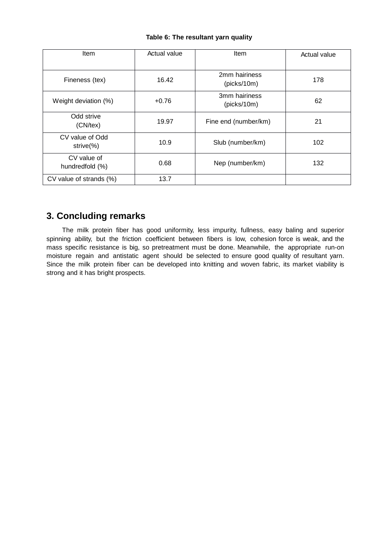|  |  | Table 6: The resultant yarn quality |  |  |
|--|--|-------------------------------------|--|--|
|--|--|-------------------------------------|--|--|

| Item                             | Actual value | Item                         | Actual value |
|----------------------------------|--------------|------------------------------|--------------|
| Fineness (tex)                   | 16.42        | 2mm hairiness<br>(picks/10m) | 178          |
| Weight deviation (%)             | $+0.76$      | 3mm hairiness<br>(picks/10m) | 62           |
| Odd strive<br>(CN/tex)           | 19.97        | Fine end (number/km)         | 21           |
| CV value of Odd<br>strive $(\%)$ | 10.9         | Slub (number/km)             | 102          |
| CV value of<br>hundredfold (%)   | 0.68         | Nep (number/km)              | 132          |
| CV value of strands (%)          | 13.7         |                              |              |

## **3. Concluding remarks**

The milk protein fiber has good uniformity, less impurity, fullness, easy baling and superior spinning ability, but the friction coefficient between fibers is low, cohesion force is weak, and the mass specific resistance is big, so pretreatment must be done. Meanwhile, the appropriate run-on moisture regain and antistatic agent should be selected to ensure good quality of resultant yarn. Since the milk protein fiber can be developed into knitting and woven fabric, its market viability is strong and it has bright prospects.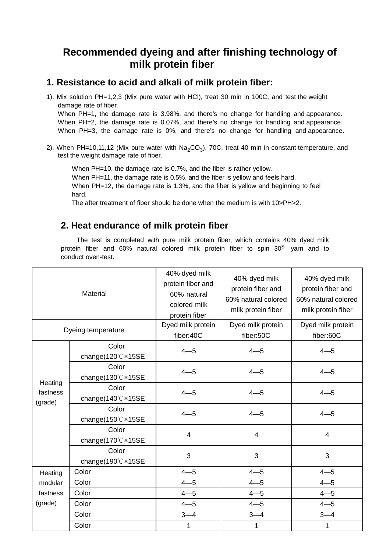# **Recommended dyeing and after finishing technology of milk protein fiber**

### **1. Resistance to acid and alkali of milk protein fiber:**

- 1). Mix solution PH=1,2,3 (Mix pure water with HCl), treat 30 min in 100C, and test the weight damage rate of fiber. When PH=1, the damage rate is 3.98%, and there's no change for handling and appearance. When PH=2, the damage rate is 0.07%, and there's no change for handling and appearance. When PH=3, the damage rate is 0%, and there's no change for handling and appearance.
- 2). When PH=10,11,12 (Mix pure water with Na<sub>2</sub>CO<sub>3</sub>), 70C, treat 40 min in constant temperature, and test the weight damage rate of fiber.

When PH=10, the damage rate is 0.7%, and the fiber is rather yellow. When PH=11, the damage rate is 0.5%, and the fiber is yellow and feels hard. When PH=12, the damage rate is 1.3%, and the fiber is yellow and beginning to feel hard.

The after treatment of fiber should be done when the medium is with 10>PH>2.

## **2. Heat endurance of milk protein fiber**

The test is completed with pure milk protein fiber, which contains 40% dyed milk protein fiber and 60% natural colored milk protein fiber to spin 30<sup>S</sup> yarn and to conduct oven-test.

|                     | Material                   | 40% dyed milk<br>protein fiber and<br>60% natural<br>colored milk<br>protein fiber | 40% dyed milk<br>protein fiber and<br>60% natural colored<br>milk protein fiber | 40% dyed milk<br>protein fiber and<br>60% natural colored<br>milk protein fiber |
|---------------------|----------------------------|------------------------------------------------------------------------------------|---------------------------------------------------------------------------------|---------------------------------------------------------------------------------|
|                     | Dyeing temperature         | Dyed milk protein<br>fiber:40C                                                     | Dyed milk protein<br>fiber:50C                                                  | Dyed milk protein<br>fiber:60C                                                  |
|                     | Color<br>change(120℃×15SE  | $4 - 5$                                                                            | $4 - 5$                                                                         | $4 - 5$                                                                         |
| Heating             | Color<br>change(130°C×15SE | $4 - 5$                                                                            | $4 - 5$                                                                         | $4 - 5$                                                                         |
| fastness<br>(grade) | Color<br>change(140℃×15SE  | $4 - 5$                                                                            | $4 - 5$                                                                         | $4 - 5$                                                                         |
|                     | Color<br>change(150°C×15SE | $4 - 5$                                                                            | $4 - 5$                                                                         | $4 - 5$                                                                         |
|                     | Color<br>change(170°C×15SE | $\overline{4}$                                                                     | $\overline{\mathbf{4}}$                                                         | $\overline{\mathbf{4}}$                                                         |
|                     | Color<br>change(190°C×15SE | 3                                                                                  | 3                                                                               | 3                                                                               |
| Heating             | Color                      | $4 - 5$                                                                            | $4 - 5$                                                                         | $4 - 5$                                                                         |
| modular             | Color                      | $4 - 5$                                                                            | $4 - 5$                                                                         | $4 - 5$                                                                         |
| fastness            | Color                      | $4 - 5$                                                                            | $4 - 5$                                                                         | $4 - 5$                                                                         |
| (grade)             | Color                      | $4 - 5$                                                                            | $4 - 5$                                                                         | $4 - 5$                                                                         |
|                     | Color                      | $3 - 4$                                                                            | $3 - 4$                                                                         | $3 - 4$                                                                         |
|                     | Color                      | $\mathbf 1$                                                                        | 1                                                                               | 1                                                                               |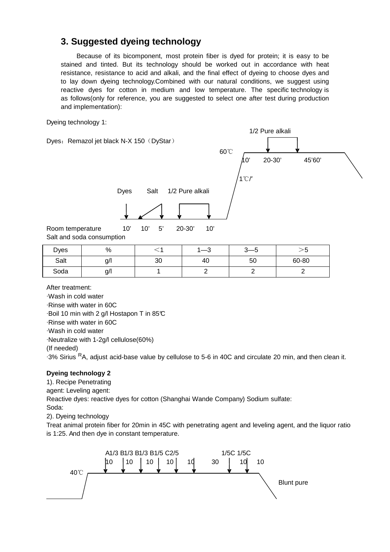## **3. Suggested dyeing technology**

Because of its bicomponent, most protein fiber is dyed for protein; it is easy to be stained and tinted. But its technology should be worked out in accordance with heat resistance, resistance to acid and alkali, and the final effect of dyeing to choose dyes and to lay down dyeing technology.Combined with our natural conditions, we suggest using reactive dyes for cotton in medium and low temperature. The specific technology is as follows(only for reference, you are suggested to select one after test during production and implementation):

Dyeing technology 1:

Dyes: Remazol jet black N-X 150 (DyStar)



Dyes Salt 1/2 Pure alkali

Room temperature 10' 10' 5' 20-30' 10' Salt and soda consumption

| <b>Dyes</b> | %      |    | $\sqrt{2}$<br>$-\circ$ | ົ<br>ັ | -<br>ن∵ |
|-------------|--------|----|------------------------|--------|---------|
| Salt        | $g$ /l | 30 | 40                     | 50     | 60-80   |
| Soda        | $g$ /l |    |                        |        |         |

After treatment:

·Wash in cold water ·Rinse with water in 60C ·Boil 10 min with 2 g/l Hostapon T in 85°C ·Rinse with water in 60C ·Wash in cold water ·Neutralize with 1-2g/l cellulose(60%) (If needed) ·3% Sirius RA, adjust acid-base value by cellulose to 5-6 in 40C and circulate 20 min, and then clean it.

### **Dyeing technology 2**

1). Recipe Penetrating agent: Leveling agent: Reactive dyes: reactive dyes for cotton (Shanghai Wande Company) Sodium sulfate: Soda:

2). Dyeing technology

Treat animal protein fiber for 20min in 45C with penetrating agent and leveling agent, and the liquor ratio is 1:25. And then dye in constant temperature.

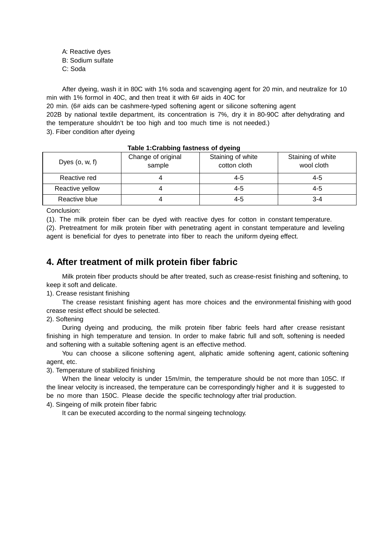A: Reactive dyes

B: Sodium sulfate

C: Soda

After dyeing, wash it in 80C with 1% soda and scavenging agent for 20 min, and neutralize for 10 min with 1% formol in 40C, and then treat it with 6# aids in 40C for

20 min. (6# aids can be cashmere-typed softening agent or silicone softening agent 202B by national textile department, its concentration is 7%, dry it in 80-90C after dehydrating and the temperature shouldn't be too high and too much time is not needed.)

3). Fiber condition after dyeing

| Dyes $(o, w, f)$ | Change of original<br>sample | Staining of white<br>cotton cloth | Staining of white<br>wool cloth |  |  |  |
|------------------|------------------------------|-----------------------------------|---------------------------------|--|--|--|
| Reactive red     |                              | $4 - 5$                           | $4 - 5$                         |  |  |  |
| Reactive yellow  |                              | $4 - 5$                           | $4 - 5$                         |  |  |  |
| Reactive blue    |                              | $4 - 5$                           | $3 - 4$                         |  |  |  |

### **Table 1:Crabbing fastness of dyeing**

Conclusion:

(1). The milk protein fiber can be dyed with reactive dyes for cotton in constant temperature.

(2). Pretreatment for milk protein fiber with penetrating agent in constant temperature and leveling agent is beneficial for dyes to penetrate into fiber to reach the uniform dyeing effect.

## **4. After treatment of milk protein fiber fabric**

Milk protein fiber products should be after treated, such as crease-resist finishing and softening, to keep it soft and delicate.

1). Crease resistant finishing

The crease resistant finishing agent has more choices and the environmental finishing with good crease resist effect should be selected.

2). Softening

During dyeing and producing, the milk protein fiber fabric feels hard after crease resistant finishing in high temperature and tension. In order to make fabric full and soft, softening is needed and softening with a suitable softening agent is an effective method.

You can choose a silicone softening agent, aliphatic amide softening agent, cationic softening agent, etc.

3). Temperature of stabilized finishing

When the linear velocity is under 15m/min, the temperature should be not more than 105C. If the linear velocity is increased, the temperature can be correspondingly higher and it is suggested to be no more than 150C. Please decide the specific technology after trial production. 4). Singeing of milk protein fiber fabric

It can be executed according to the normal singeing technology.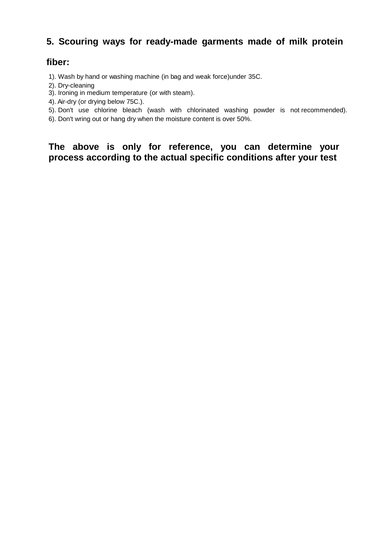## **5. Scouring ways for ready-made garments made of milk protein**

## **fiber:**

- 1). Wash by hand or washing machine (in bag and weak force)under 35C.
- 2). Dry-cleaning
- 3). Ironing in medium temperature (or with steam).
- 4). Air-dry (or drying below 75C.).
- 5). Don't use chlorine bleach (wash with chlorinated washing powder is not recommended).
- 6). Don't wring out or hang dry when the moisture content is over 50%.

**The above is only for reference, you can determine your process according to the actual specific conditions after your test**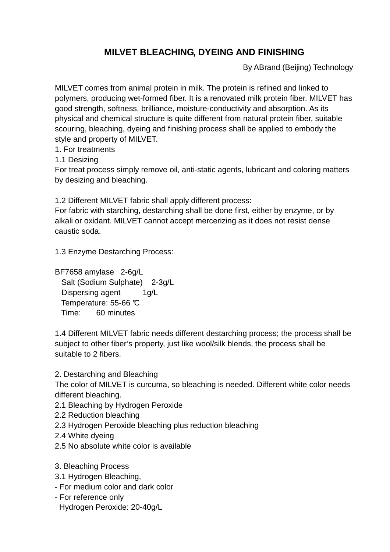# **MILVET BLEACHING, DYEING AND FINISHING**

By ABrand (Beijing) Technology

MILVET comes from animal protein in milk. The protein is refined and linked to polymers, producing wet-formed fiber. It is a renovated milk protein fiber. MILVET has good strength, softness, brilliance, moisture-conductivity and absorption. As its physical and chemical structure is quite different from natural protein fiber, suitable scouring, bleaching, dyeing and finishing process shall be applied to embody the style and property of MILVET.

1. For treatments

1.1 Desizing

For treat process simply remove oil, anti-static agents, lubricant and coloring matters by desizing and bleaching.

1.2 Different MILVET fabric shall apply different process:

For fabric with starching, destarching shall be done first, either by enzyme, or by alkali or oxidant. MILVET cannot accept mercerizing as it does not resist dense caustic soda.

1.3 Enzyme Destarching Process:

BF7658 amylase 2-6g/L Salt (Sodium Sulphate) 2-3g/L Dispersing agent 1g/L Temperature: 55-66 °C Time: 60 minutes

1.4 Different MILVET fabric needs different destarching process; the process shall be subject to other fiber's property, just like wool/silk blends, the process shall be suitable to 2 fibers.

2. Destarching and Bleaching

The color of MILVET is curcuma, so bleaching is needed. Different white color needs different bleaching.

- 2.1 Bleaching by Hydrogen Peroxide
- 2.2 Reduction bleaching
- 2.3 Hydrogen Peroxide bleaching plus reduction bleaching
- 2.4 White dyeing
- 2.5 No absolute white color is available
- 3. Bleaching Process
- 3.1 Hydrogen Bleaching,
- For medium color and dark color
- For reference only Hydrogen Peroxide: 20-40g/L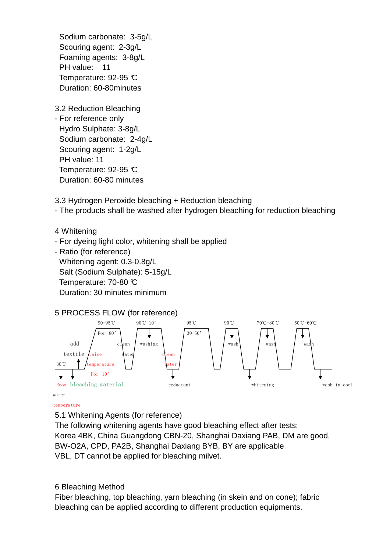Sodium carbonate: 3-5g/L Scouring agent: 2-3g/L Foaming agents: 3-8g/L PH value: 11 Temperature: 92-95 °C Duration: 60-80minutes

3.2 Reduction Bleaching

- For reference only Hydro Sulphate: 3-8g/L Sodium carbonate: 2-4g/L Scouring agent: 1-2g/L PH value: 11 Temperature: 92-95 °C Duration: 60-80 minutes

3.3 Hydrogen Peroxide bleaching + Reduction bleaching

- The products shall be washed after hydrogen bleaching for reduction bleaching

4 Whitening

- For dyeing light color, whitening shall be applied
- Ratio (for reference) Whitening agent: 0.3-0.8g/L Salt (Sodium Sulphate): 5-15g/L Temperature: 70-80 °C Duration: 30 minutes minimum



temperature

5.1 Whitening Agents (for reference)

The following whitening agents have good bleaching effect after tests: Korea 4BK, China Guangdong CBN-20, Shanghai Daxiang PAB, DM are good, BW-O2A, CPD, PA2B, Shanghai Daxiang BYB, BY are applicable VBL, DT cannot be applied for bleaching milvet.

### 6 Bleaching Method

Fiber bleaching, top bleaching, yarn bleaching (in skein and on cone); fabric bleaching can be applied according to different production equipments.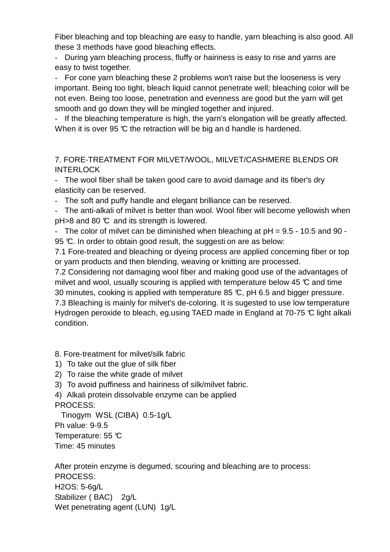Fiber bleaching and top bleaching are easy to handle, yarn bleaching is also good. All these 3 methods have good bleaching effects.

- During yarn bleaching process, fluffy or hairiness is easy to rise and yarns are easy to twist together.

- For cone yarn bleaching these 2 problems won't raise but the looseness is very important. Being too tight, bleach liquid cannot penetrate well; bleaching color will be not even. Being too loose, penetration and evenness are good but the yarn will get smooth and go down they will be mingled together and injured.

- If the bleaching temperature is high, the yarn's elongation will be greatly affected. When it is over 95  $\mathbb C$  the retraction will be big and handle is hardened.

7. FORE-TREATMENT FOR MILVET/WOOL, MILVET/CASHMERE BLENDS OR **INTERLOCK** 

- The wool fiber shall be taken good care to avoid damage and its fiber's dry elasticity can be reserved.

- The soft and puffy handle and elegant brilliance can be reserved.

- The anti-alkali of milvet is better than wool. Wool fiber will become yellowish when  $pH > 8$  and 80  $\degree$  and its strength is lowered.

- The color of milvet can be diminished when bleaching at  $pH = 9.5 - 10.5$  and  $90 -$ 95 °C. In order to obtain good result, the suggesti on are as below:

7.1 Fore-treated and bleaching or dyeing process are applied concerning fiber or top or yarn products and then blending, weaving or knitting are processed.

7.2 Considering not damaging wool fiber and making good use of the advantages of milvet and wool, usually scouring is applied with temperature below 45  $\mathbb C$  and time 30 minutes, cooking is applied with temperature 85  $\mathbb{C}$ , pH 6.5 and bigger pressure. 7.3 Bleaching is mainly for milvet's de-coloring. It is sugested to use low temperature Hydrogen peroxide to bleach, eg.using TAED made in England at 70-75 °C light alkali condition.

8. Fore-treatment for milvet/silk fabric

- 1) To take out the glue of silk fiber
- 2) To raise the white grade of milvet
- 3) To avoid puffiness and hairiness of silk/milvet fabric.

4) Alkali protein dissolvable enzyme can be applied PROCESS:

 Tinogym WSL (CIBA) 0.5-1g/L Ph value: 9-9.5 Temperature: 55 °C

Time: 45 minutes

After protein enzyme is degumed, scouring and bleaching are to process: PROCESS: H2OS: 5-6g/L Stabilizer (BAC) 2g/L Wet penetrating agent (LUN) 1g/L